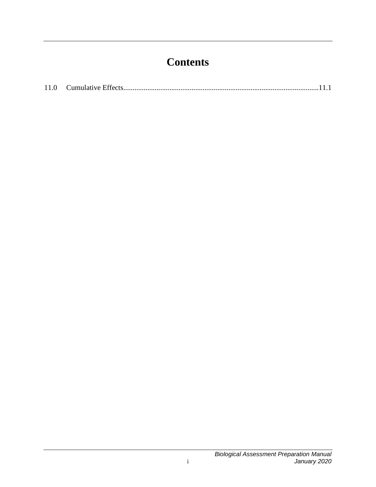## **Contents**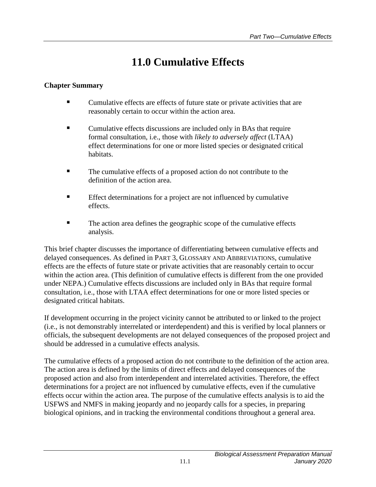## **11.0 Cumulative Effects**

## <span id="page-4-0"></span>**Chapter Summary**

- Cumulative effects are effects of future state or private activities that are reasonably certain to occur within the action area.
- Cumulative effects discussions are included only in BAs that require formal consultation, i.e., those with *likely to adversely affect* (LTAA) effect determinations for one or more listed species or designated critical habitats.
- The cumulative effects of a proposed action do not contribute to the definition of the action area.
- Effect determinations for a project are not influenced by cumulative effects.
- The action area defines the geographic scope of the cumulative effects analysis.

This brief chapter discusses the importance of differentiating between cumulative effects and delayed consequences. As defined in PART 3, GLOSSARY AND ABBREVIATIONS, cumulative effects are the effects of future state or private activities that are reasonably certain to occur within the action area. (This definition of cumulative effects is different from the one provided under NEPA.) Cumulative effects discussions are included only in BAs that require formal consultation, i.e., those with LTAA effect determinations for one or more listed species or designated critical habitats.

If development occurring in the project vicinity cannot be attributed to or linked to the project (i.e., is not demonstrably interrelated or interdependent) and this is verified by local planners or officials, the subsequent developments are not delayed consequences of the proposed project and should be addressed in a cumulative effects analysis.

The cumulative effects of a proposed action do not contribute to the definition of the action area. The action area is defined by the limits of direct effects and delayed consequences of the proposed action and also from interdependent and interrelated activities. Therefore, the effect determinations for a project are not influenced by cumulative effects, even if the cumulative effects occur within the action area. The purpose of the cumulative effects analysis is to aid the USFWS and NMFS in making jeopardy and no jeopardy calls for a species, in preparing biological opinions, and in tracking the environmental conditions throughout a general area.